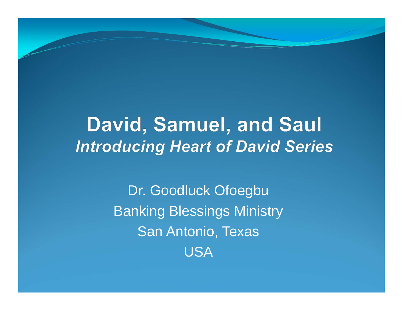#### David, Samuel, and Saul **Introducing Heart of David Series**

Dr. Goodluck Ofoegbu Banking Blessings Ministry San Antonio, Texas USA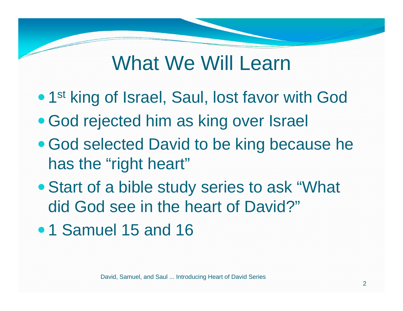### What We Will Learn

- 1st king of Israel, Saul, lost favor with God
- God rejected him as king over Israel
- God selected David to be king because he has the "right heart"
- Start of a bible study series to ask "What did God see in the heart of David?"
- 1 Samuel 15 and 16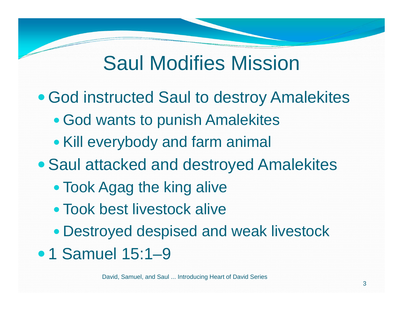## Saul Modifies Mission

- God instructed Saul to destroy Amalekites
	- God wants to punish Amalekites
	- Kill everybody and farm animal
- Saul attacked and destroyed Amalekites
	- Took Agag the king alive
	- Took best livestock alive
	- Destroyed despised and weak livestock
- 1 Samuel 15:1-9

David, Samuel, and Saul ... Introducing Heart of David Series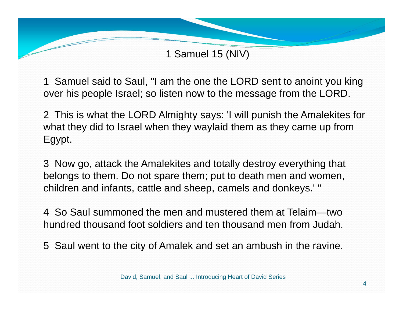1 Samuel said to Saul, "I am the one the LORD sent to anoint you king over his people Israel; so listen now to the message from the LORD.

2 This is what the LORD Almighty says: 'I will punish the Amalekites for what they did to Israel when they waylaid them as they came up from Egypt.

3 Now go, attack the Amalekites and totally destroy everything that belongs to them. Do not spare them; put to death men and women, children and infants, cattle and sheep, camels and donkeys.' "

4 So Saul summoned the men and mustered them at Telaim—two hundred thousand foot soldiers and ten thousand men from Judah.

5 Saul went to the city of Amalek and set an ambush in the ravine.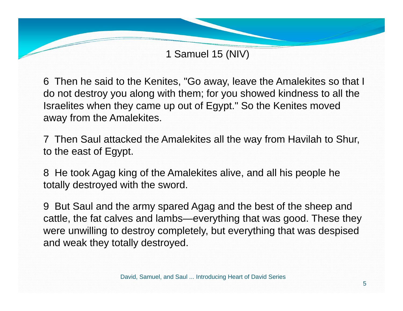6 Then he said to the Kenites, "Go away, leave the Amalekites so that I do not destroy you along with them; for you showed kindness to all the Israelites when they came up out of Egypt." So the Kenites moved away from the Amalekites.

7 Then Saul attacked the Amalekites all the way from Havilah to Shur, to the east of Egypt.

8 He took Agag king of the Amalekites alive, and all his people he totally destroyed with the sword.

9 But Saul and the army spared Agag and the best of the sheep and cattle, the fat calves and lambs—everything that was good. These they were unwilling to destroy completely, but everything that was despised and weak they totally destroyed.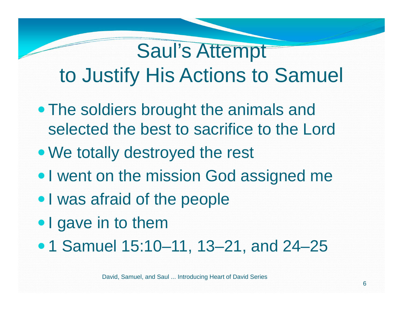# Saul's Attempt to Justify His Actions to Samuel

- The soldiers brought the animals and selected the best to sacrifice to the Lord
- We totally destroyed the rest
- I went on the mission God assigned me
- I was afraid of the people
- I gave in to them
- 1 Samuel 15:10–11, 13–21, and 24–25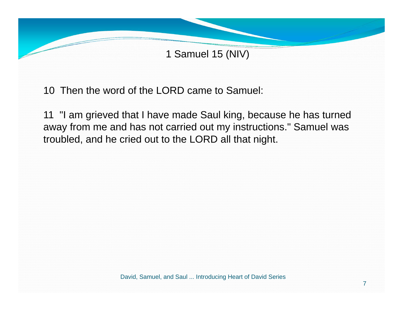

10 Then the word of the LORD came to Samuel:

11 "I am grieved that I have made Saul king, because he has turned away from me and has not carried out my instructions." Samuel was troubled, and he cried out to the LORD all that night.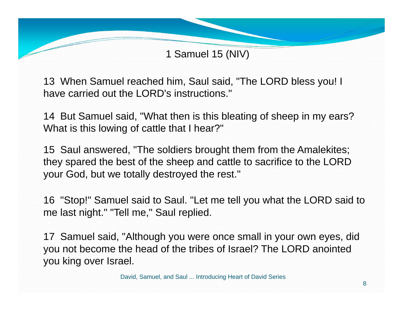13 When Samuel reached him, Saul said, "The LORD bless you! I have carried out the LORD's instructions."

14 But Samuel said, "What then is this bleating of sheep in my ears? What is this lowing of cattle that I hear?"

15 Saul answered, "The soldiers brought them from the Amalekites; they spared the best of the sheep and cattle to sacrifice to the LORD your God, but we totally destroyed the rest."

16 "Stop!" Samuel said to Saul. "Let me tell you what the LORD said to me last night." "Tell me," Saul replied.

17 Samuel said, "Although you were once small in your own eyes, did you not become the head of the tribes of Israel? The LORD anointed you king over Israel.

David, Samuel, and Saul ... Introducing Heart of David Series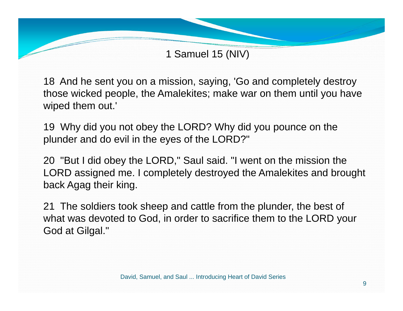18 And he sent you on a mission, saying, 'Go and completely destroy those wicked people, the Amalekites; make war on them until you have wiped them out.'

19 Why did you not obey the LORD? Why did you pounce on the plunder and do evil in the eyes of the LORD?"

20 "But I did obey the LORD," Saul said. "I went on the mission the LORD assigned me. I completely destroyed the Amalekites and brought back Agag their king.

21 The soldiers took sheep and cattle from the plunder, the best of what was devoted to God, in order to sacrifice them to the LORD your God at Gilgal."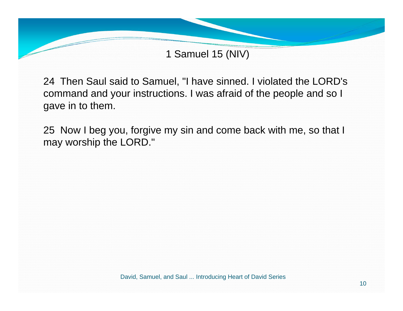

24 Then Saul said to Samuel, "I have sinned. I violated the LORD's command and your instructions. I was afraid of the people and so I gave in to them.

25 Now I beg you, forgive my sin and come back with me, so that I may worship the LORD."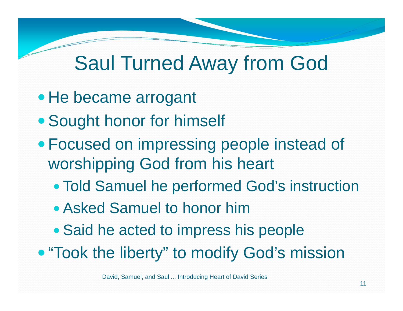## Saul Turned Away from God

- He became arrogant
- Sought honor for himself
- Focused on impressing people instead of worshipping God from his heart
	- Told Samuel he performed God's instruction
	- Asked Samuel to honor him
	- Said he acted to impress his people
- "Took the liberty" to modify God's mission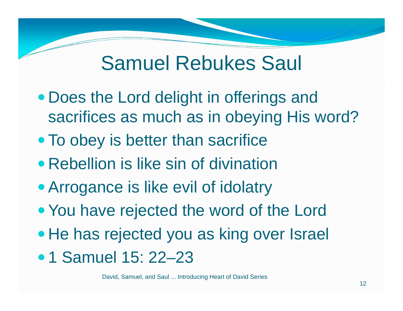#### Samuel Rebukes Saul

- Does the Lord delight in offerings and sacrifices as much as in obeying His word?
- To obey is better than sacrifice
- Rebellion is like sin of divination
- Arrogance is like evil of idolatry
- You have rejected the word of the Lord
- He has rejected you as king over Israel
- 1 Samuel 15: 22-23

David, Samuel, and Saul ... Introducing Heart of David Series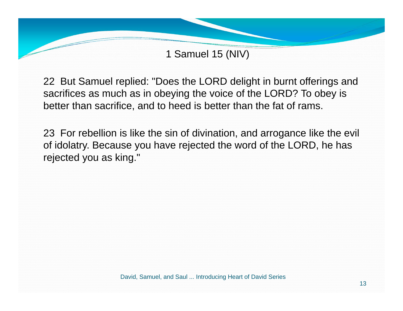

22 But Samuel replied: "Does the LORD delight in burnt offerings and sacrifices as much as in obeying the voice of the LORD? To obey is better than sacrifice, and to heed is better than the fat of rams.

23 For rebellion is like the sin of divination, and arrogance like the evil of idolatry. Because you have rejected the word of the LORD, he has rejected you as king."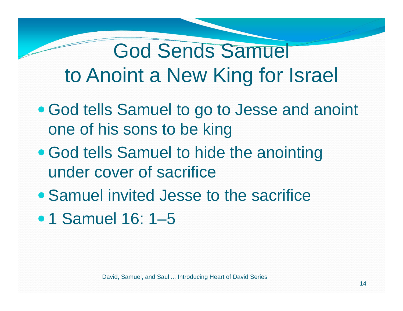## God Sends Samuel to Anoint a New King for Israel

- God tells Samuel to go to Jesse and anoint one of his sons to be king
- God tells Samuel to hide the anointing under cover of sacrifice
- Samuel invited Jesse to the sacrifice
- 1 Samuel 16: 1-5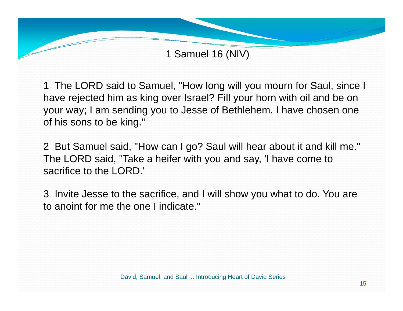1 The LORD said to Samuel, "How long will you mourn for Saul, since I have rejected him as king over Israel? Fill your horn with oil and be on your way; I am sending you to Jesse of Bethlehem. I have chosen one of his sons to be king."

2 But Samuel said, "How can I go? Saul will hear about it and kill me." The LORD said, "Take a heifer with you and say, 'I have come to sacrifice to the LORD.'

3 Invite Jesse to the sacrifice, and I will show you what to do. You are to anoint for me the one I indicate."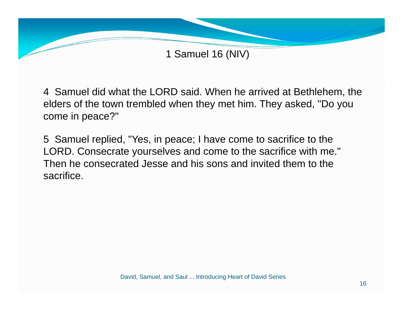

4 Samuel did what the LORD said. When he arrived at Bethlehem, the elders of the town trembled when they met him. They asked, "Do you come in peace?"

5 Samuel replied, "Yes, in peace; I have come to sacrifice to the LORD. Consecrate yourselves and come to the sacrifice with me." Then he consecrated Jesse and his sons and invited them to the sacrifice.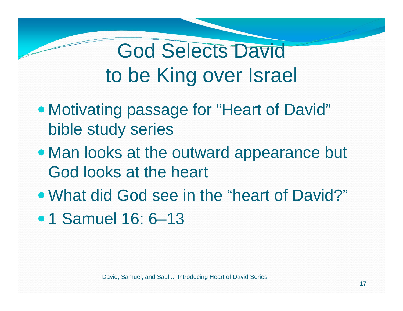# God Selects David to be King over Israel

- Motivating passage for "Heart of David" bible study series
- Man looks at the outward appearance but God looks at the heart
- What did God see in the "heart of David?"
- 1 Samuel 16: 6-13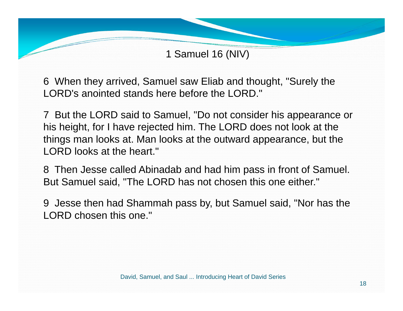6 When they arrived, Samuel saw Eliab and thought, "Surely the LORD's anointed stands here before the LORD."

7 But the LORD said to Samuel, "Do not consider his appearance or his height, for I have rejected him. The LORD does not look at the things man looks at. Man looks at the outward appearance, but the LORD looks at the heart."

8 Then Jesse called Abinadab and had him pass in front of Samuel. But Samuel said, "The LORD has not chosen this one either."

9 Jesse then had Shammah pass by, but Samuel said, "Nor has the LORD chosen this one."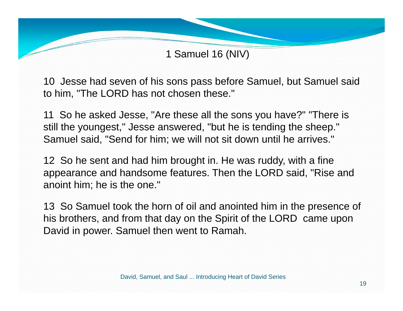10 Jesse had seven of his sons pass before Samuel, but Samuel said to him, "The LORD has not chosen these."

11 So he asked Jesse, "Are these all the sons you have?" "There is still the youngest," Jesse answered, "but he is tending the sheep." Samuel said, "Send for him; we will not sit down until he arrives."

12 So he sent and had him brought in. He was ruddy, with a fine appearance and handsome features. Then the LORD said, "Rise and anoint him; he is the one."

13 So Samuel took the horn of oil and anointed him in the presence of his brothers, and from that day on the Spirit of the LORD came upon David in power. Samuel then went to Ramah.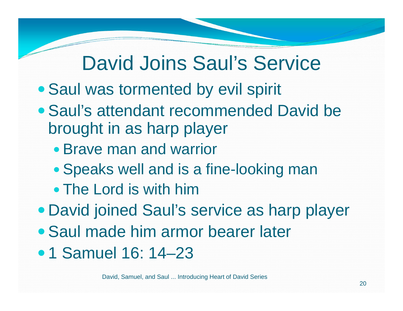## David Joins Saul's Service

- Saul was tormented by evil spirit
- Saul's attendant recommended David be brought in as harp player
	- Brave man and warrior
	- Speaks well and is a fine-looking man
	- The Lord is with him
- David joined Saul's service as harp player
- Saul made him armor bearer later
- 1 Samuel 16: 14–23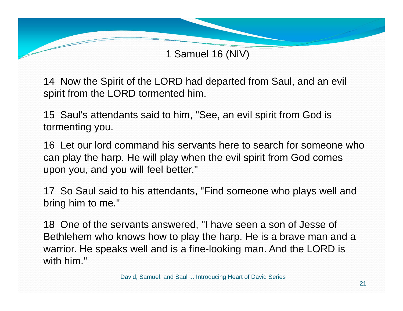14 Now the Spirit of the LORD had departed from Saul, and an evil spirit from the LORD tormented him.

15 Saul's attendants said to him, "See, an evil spirit from God is tormenting you.

16 Let our lord command his servants here to search for someone who can play the harp. He will play when the evil spirit from God comes upon you, and you will feel better."

17 So Saul said to his attendants, "Find someone who plays well and bring him to me."

18 One of the servants answered, "I have seen a son of Jesse of Bethlehem who knows how to play the harp. He is a brave man and a warrior. He speaks well and is a fine-looking man. And the LORD is with him."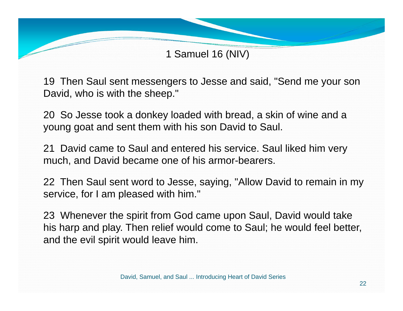19 Then Saul sent messengers to Jesse and said, "Send me your son David, who is with the sheep."

20 So Jesse took a donkey loaded with bread, a skin of wine and a young goat and sent them with his son David to Saul.

21 David came to Saul and entered his service. Saul liked him very much, and David became one of his armor-bearers.

22 Then Saul sent word to Jesse, saying, "Allow David to remain in my service, for I am pleased with him."

23 Whenever the spirit from God came upon Saul, David would take his harp and play. Then relief would come to Saul; he would feel better, and the evil spirit would leave him.